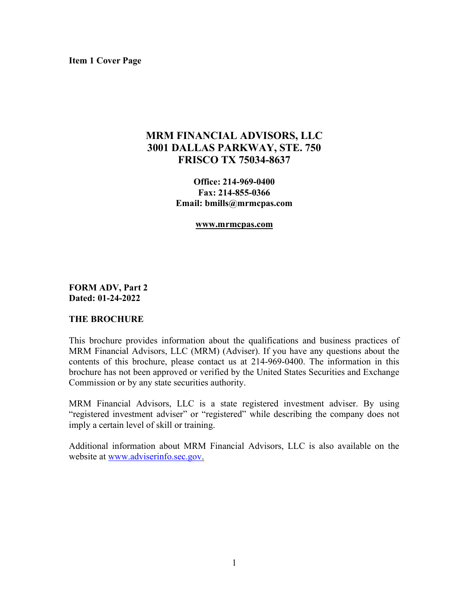Item 1 Cover Page

# MRM FINANCIAL ADVISORS, LLC 3001 DALLAS PARKWAY, STE. 750 FRISCO TX 75034-8637

Office: 214-969-0400 Fax: 214-855-0366 Email: bmills@mrmcpas.com

#### www.mrmcpas.com

FORM ADV, Part 2 Dated: 01-24-2022

#### THE BROCHURE

This brochure provides information about the qualifications and business practices of MRM Financial Advisors, LLC (MRM) (Adviser). If you have any questions about the contents of this brochure, please contact us at 214-969-0400. The information in this brochure has not been approved or verified by the United States Securities and Exchange Commission or by any state securities authority.

MRM Financial Advisors, LLC is a state registered investment adviser. By using "registered investment adviser" or "registered" while describing the company does not imply a certain level of skill or training.

Additional information about MRM Financial Advisors, LLC is also available on the website at www.adviserinfo.sec.gov.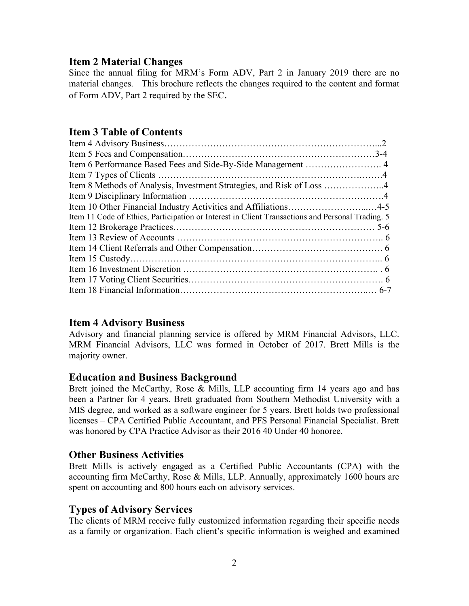#### Item 2 Material Changes

Since the annual filing for MRM's Form ADV, Part 2 in January 2019 there are no material changes. This brochure reflects the changes required to the content and format of Form ADV, Part 2 required by the SEC.

# Item 3 Table of Contents

| Item 8 Methods of Analysis, Investment Strategies, and Risk of Loss 4                            |
|--------------------------------------------------------------------------------------------------|
|                                                                                                  |
| Item 10 Other Financial Industry Activities and Affiliations4-5                                  |
| Item 11 Code of Ethics, Participation or Interest in Client Transactions and Personal Trading. 5 |
|                                                                                                  |
|                                                                                                  |
|                                                                                                  |
|                                                                                                  |
|                                                                                                  |
|                                                                                                  |
|                                                                                                  |

### Item 4 Advisory Business

Advisory and financial planning service is offered by MRM Financial Advisors, LLC. MRM Financial Advisors, LLC was formed in October of 2017. Brett Mills is the majority owner.

### Education and Business Background

Brett joined the McCarthy, Rose & Mills, LLP accounting firm 14 years ago and has been a Partner for 4 years. Brett graduated from Southern Methodist University with a MIS degree, and worked as a software engineer for 5 years. Brett holds two professional licenses – CPA Certified Public Accountant, and PFS Personal Financial Specialist. Brett was honored by CPA Practice Advisor as their 2016 40 Under 40 honoree.

#### Other Business Activities

Brett Mills is actively engaged as a Certified Public Accountants (CPA) with the accounting firm McCarthy, Rose & Mills, LLP. Annually, approximately 1600 hours are spent on accounting and 800 hours each on advisory services.

### Types of Advisory Services

The clients of MRM receive fully customized information regarding their specific needs as a family or organization. Each client's specific information is weighed and examined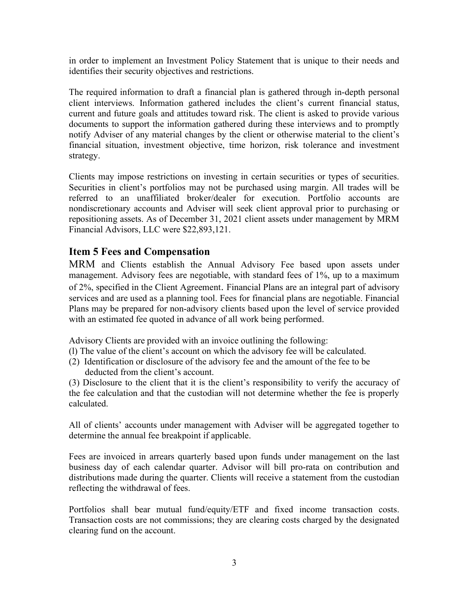in order to implement an Investment Policy Statement that is unique to their needs and identifies their security objectives and restrictions.

The required information to draft a financial plan is gathered through in-depth personal client interviews. Information gathered includes the client's current financial status, current and future goals and attitudes toward risk. The client is asked to provide various documents to support the information gathered during these interviews and to promptly notify Adviser of any material changes by the client or otherwise material to the client's financial situation, investment objective, time horizon, risk tolerance and investment strategy.

Clients may impose restrictions on investing in certain securities or types of securities. Securities in client's portfolios may not be purchased using margin. All trades will be referred to an unaffiliated broker/dealer for execution. Portfolio accounts are nondiscretionary accounts and Adviser will seek client approval prior to purchasing or repositioning assets. As of December 31, 2021 client assets under management by MRM Financial Advisors, LLC were \$22,893,121.

## Item 5 Fees and Compensation

MRM and Clients establish the Annual Advisory Fee based upon assets under management. Advisory fees are negotiable, with standard fees of 1%, up to a maximum of 2%, specified in the Client Agreement. Financial Plans are an integral part of advisory services and are used as a planning tool. Fees for financial plans are negotiable. Financial Plans may be prepared for non-advisory clients based upon the level of service provided with an estimated fee quoted in advance of all work being performed.

Advisory Clients are provided with an invoice outlining the following:

- (l) The value of the client's account on which the advisory fee will be calculated.
- (2) Identification or disclosure of the advisory fee and the amount of the fee to be deducted from the client's account.

(3) Disclosure to the client that it is the client's responsibility to verify the accuracy of the fee calculation and that the custodian will not determine whether the fee is properly calculated.

All of clients' accounts under management with Adviser will be aggregated together to determine the annual fee breakpoint if applicable.

Fees are invoiced in arrears quarterly based upon funds under management on the last business day of each calendar quarter. Advisor will bill pro-rata on contribution and distributions made during the quarter. Clients will receive a statement from the custodian reflecting the withdrawal of fees.

Portfolios shall bear mutual fund/equity/ETF and fixed income transaction costs. Transaction costs are not commissions; they are clearing costs charged by the designated clearing fund on the account.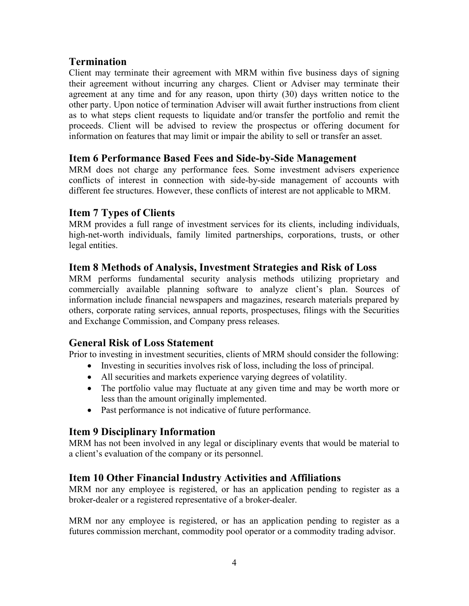## Termination

Client may terminate their agreement with MRM within five business days of signing their agreement without incurring any charges. Client or Adviser may terminate their agreement at any time and for any reason, upon thirty (30) days written notice to the other party. Upon notice of termination Adviser will await further instructions from client as to what steps client requests to liquidate and/or transfer the portfolio and remit the proceeds. Client will be advised to review the prospectus or offering document for information on features that may limit or impair the ability to sell or transfer an asset.

## Item 6 Performance Based Fees and Side-by-Side Management

MRM does not charge any performance fees. Some investment advisers experience conflicts of interest in connection with side-by-side management of accounts with different fee structures. However, these conflicts of interest are not applicable to MRM.

### Item 7 Types of Clients

MRM provides a full range of investment services for its clients, including individuals, high-net-worth individuals, family limited partnerships, corporations, trusts, or other legal entities.

## Item 8 Methods of Analysis, Investment Strategies and Risk of Loss

MRM performs fundamental security analysis methods utilizing proprietary and commercially available planning software to analyze client's plan. Sources of information include financial newspapers and magazines, research materials prepared by others, corporate rating services, annual reports, prospectuses, filings with the Securities and Exchange Commission, and Company press releases.

### General Risk of Loss Statement

Prior to investing in investment securities, clients of MRM should consider the following:

- Investing in securities involves risk of loss, including the loss of principal.
- All securities and markets experience varying degrees of volatility.
- The portfolio value may fluctuate at any given time and may be worth more or less than the amount originally implemented.
- Past performance is not indicative of future performance.

# Item 9 Disciplinary Information

MRM has not been involved in any legal or disciplinary events that would be material to a client's evaluation of the company or its personnel.

# Item 10 Other Financial Industry Activities and Affiliations

MRM nor any employee is registered, or has an application pending to register as a broker-dealer or a registered representative of a broker-dealer.

MRM nor any employee is registered, or has an application pending to register as a futures commission merchant, commodity pool operator or a commodity trading advisor.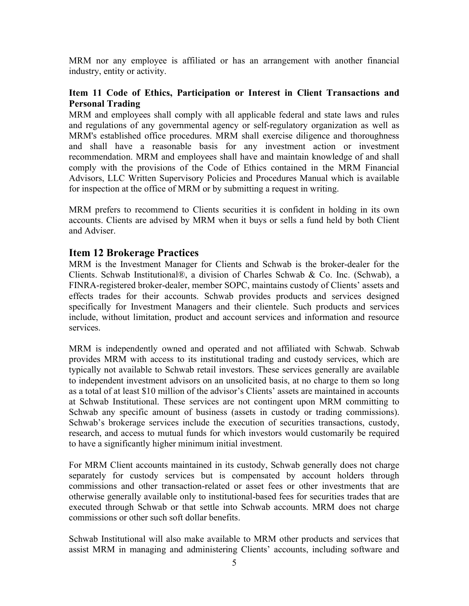MRM nor any employee is affiliated or has an arrangement with another financial industry, entity or activity.

#### Item 11 Code of Ethics, Participation or Interest in Client Transactions and Personal Trading

MRM and employees shall comply with all applicable federal and state laws and rules and regulations of any governmental agency or self-regulatory organization as well as MRM's established office procedures. MRM shall exercise diligence and thoroughness and shall have a reasonable basis for any investment action or investment recommendation. MRM and employees shall have and maintain knowledge of and shall comply with the provisions of the Code of Ethics contained in the MRM Financial Advisors, LLC Written Supervisory Policies and Procedures Manual which is available for inspection at the office of MRM or by submitting a request in writing.

MRM prefers to recommend to Clients securities it is confident in holding in its own accounts. Clients are advised by MRM when it buys or sells a fund held by both Client and Adviser.

#### Item 12 Brokerage Practices

MRM is the Investment Manager for Clients and Schwab is the broker-dealer for the Clients. Schwab Institutional®, a division of Charles Schwab & Co. Inc. (Schwab), a FINRA-registered broker-dealer, member SOPC, maintains custody of Clients' assets and effects trades for their accounts. Schwab provides products and services designed specifically for Investment Managers and their clientele. Such products and services include, without limitation, product and account services and information and resource services.

MRM is independently owned and operated and not affiliated with Schwab. Schwab provides MRM with access to its institutional trading and custody services, which are typically not available to Schwab retail investors. These services generally are available to independent investment advisors on an unsolicited basis, at no charge to them so long as a total of at least \$10 million of the advisor's Clients' assets are maintained in accounts at Schwab Institutional. These services are not contingent upon MRM committing to Schwab any specific amount of business (assets in custody or trading commissions). Schwab's brokerage services include the execution of securities transactions, custody, research, and access to mutual funds for which investors would customarily be required to have a significantly higher minimum initial investment.

For MRM Client accounts maintained in its custody, Schwab generally does not charge separately for custody services but is compensated by account holders through commissions and other transaction-related or asset fees or other investments that are otherwise generally available only to institutional-based fees for securities trades that are executed through Schwab or that settle into Schwab accounts. MRM does not charge commissions or other such soft dollar benefits.

Schwab Institutional will also make available to MRM other products and services that assist MRM in managing and administering Clients' accounts, including software and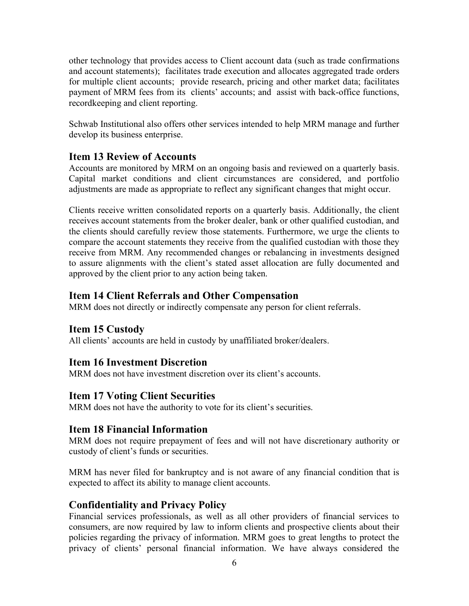other technology that provides access to Client account data (such as trade confirmations and account statements); facilitates trade execution and allocates aggregated trade orders for multiple client accounts; provide research, pricing and other market data; facilitates payment of MRM fees from its clients' accounts; and assist with back-office functions, recordkeeping and client reporting.

Schwab Institutional also offers other services intended to help MRM manage and further develop its business enterprise.

# Item 13 Review of Accounts

Accounts are monitored by MRM on an ongoing basis and reviewed on a quarterly basis. Capital market conditions and client circumstances are considered, and portfolio adjustments are made as appropriate to reflect any significant changes that might occur.

Clients receive written consolidated reports on a quarterly basis. Additionally, the client receives account statements from the broker dealer, bank or other qualified custodian, and the clients should carefully review those statements. Furthermore, we urge the clients to compare the account statements they receive from the qualified custodian with those they receive from MRM. Any recommended changes or rebalancing in investments designed to assure alignments with the client's stated asset allocation are fully documented and approved by the client prior to any action being taken.

## Item 14 Client Referrals and Other Compensation

MRM does not directly or indirectly compensate any person for client referrals.

### Item 15 Custody

All clients' accounts are held in custody by unaffiliated broker/dealers.

### Item 16 Investment Discretion

MRM does not have investment discretion over its client's accounts.

### Item 17 Voting Client Securities

MRM does not have the authority to vote for its client's securities.

### Item 18 Financial Information

MRM does not require prepayment of fees and will not have discretionary authority or custody of client's funds or securities.

MRM has never filed for bankruptcy and is not aware of any financial condition that is expected to affect its ability to manage client accounts.

### Confidentiality and Privacy Policy

Financial services professionals, as well as all other providers of financial services to consumers, are now required by law to inform clients and prospective clients about their policies regarding the privacy of information. MRM goes to great lengths to protect the privacy of clients' personal financial information. We have always considered the